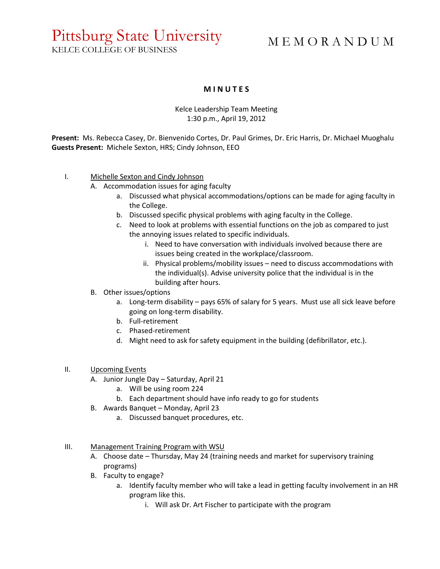## Pittsburg State University KELCE COLLEGE OF BUSINESS

# M E M O R A N D U M

## **M I N U T E S**

Kelce Leadership Team Meeting 1:30 p.m., April 19, 2012

**Present:** Ms. Rebecca Casey, Dr. Bienvenido Cortes, Dr. Paul Grimes, Dr. Eric Harris, Dr. Michael Muoghalu **Guests Present:** Michele Sexton, HRS; Cindy Johnson, EEO

## I. Michelle Sexton and Cindy Johnson

- A. Accommodation issues for aging faculty
	- a. Discussed what physical accommodations/options can be made for aging faculty in the College.
	- b. Discussed specific physical problems with aging faculty in the College.
	- c. Need to look at problems with essential functions on the job as compared to just the annoying issues related to specific individuals.
		- i. Need to have conversation with individuals involved because there are issues being created in the workplace/classroom.
		- ii. Physical problems/mobility issues need to discuss accommodations with the individual(s). Advise university police that the individual is in the building after hours.
- B. Other issues/options
	- a. Long-term disability pays 65% of salary for 5 years. Must use all sick leave before going on long-term disability.
	- b. Full-retirement
	- c. Phased-retirement
	- d. Might need to ask for safety equipment in the building (defibrillator, etc.).
- II. Upcoming Events
	- A. Junior Jungle Day Saturday, April 21
		- a. Will be using room 224
		- b. Each department should have info ready to go for students
	- B. Awards Banquet Monday, April 23
		- a. Discussed banquet procedures, etc.

#### III. Management Training Program with WSU

- A. Choose date Thursday, May 24 (training needs and market for supervisory training programs)
- B. Faculty to engage?
	- a. Identify faculty member who will take a lead in getting faculty involvement in an HR program like this.
		- i. Will ask Dr. Art Fischer to participate with the program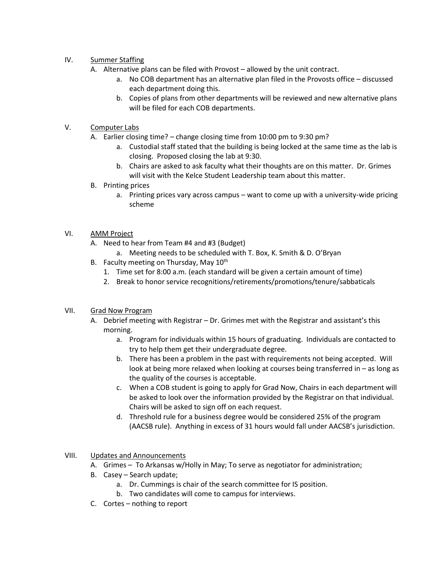- IV. Summer Staffing
	- A. Alternative plans can be filed with Provost allowed by the unit contract.
		- a. No COB department has an alternative plan filed in the Provosts office discussed each department doing this.
		- b. Copies of plans from other departments will be reviewed and new alternative plans will be filed for each COB departments.

### V. Computer Labs

- A. Earlier closing time? change closing time from 10:00 pm to 9:30 pm?
	- a. Custodial staff stated that the building is being locked at the same time as the lab is closing. Proposed closing the lab at 9:30.
	- b. Chairs are asked to ask faculty what their thoughts are on this matter. Dr. Grimes will visit with the Kelce Student Leadership team about this matter.
- B. Printing prices
	- a. Printing prices vary across campus want to come up with a university-wide pricing scheme

#### VI. AMM Project

- A. Need to hear from Team #4 and #3 (Budget)
	- a. Meeting needs to be scheduled with T. Box, K. Smith & D. O'Bryan
- B. Faculty meeting on Thursday, May  $10^{th}$ 
	- 1. Time set for 8:00 a.m. (each standard will be given a certain amount of time)
	- 2. Break to honor service recognitions/retirements/promotions/tenure/sabbaticals

#### VII. Grad Now Program

- A. Debrief meeting with Registrar Dr. Grimes met with the Registrar and assistant's this morning.
	- a. Program for individuals within 15 hours of graduating. Individuals are contacted to try to help them get their undergraduate degree.
	- b. There has been a problem in the past with requirements not being accepted. Will look at being more relaxed when looking at courses being transferred in – as long as the quality of the courses is acceptable.
	- c. When a COB student is going to apply for Grad Now, Chairs in each department will be asked to look over the information provided by the Registrar on that individual. Chairs will be asked to sign off on each request.
	- d. Threshold rule for a business degree would be considered 25% of the program (AACSB rule). Anything in excess of 31 hours would fall under AACSB's jurisdiction.

## VIII. Updates and Announcements

- A. Grimes To Arkansas w/Holly in May; To serve as negotiator for administration;
- B. Casey Search update;
	- a. Dr. Cummings is chair of the search committee for IS position.
	- b. Two candidates will come to campus for interviews.
- C. Cortes nothing to report